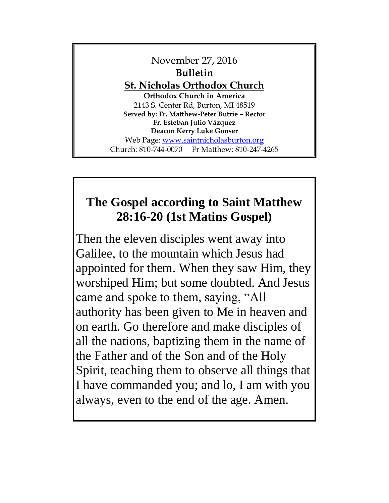November 27, 2016 **Bulletin St. Nicholas Orthodox Church Orthodox Church in America** 2143 S. Center Rd, Burton, MI 48519 **Served by: Fr. Matthew-Peter Butrie – Rector Fr. Esteban Julio Vázquez Deacon Kerry Luke Gonser** Web Page: [www.saintnicholasburton.org](http://www.saintnicholasburton.org/) Church: 810-744-0070 Fr Matthew: 810-247-4265

# **The Gospel according to Saint Matthew 28:16-20 (1st Matins Gospel)**

Then the eleven disciples went away into Galilee, to the mountain which Jesus had appointed for them. When they saw Him, they worshiped Him; but some doubted. And Jesus came and spoke to them, saying, "All authority has been given to Me in heaven and on earth. Go therefore and make disciples of all the nations, baptizing them in the name of the Father and of the Son and of the Holy Spirit, teaching them to observe all things that I have commanded you; and lo, I am with you always, even to the end of the age. Amen.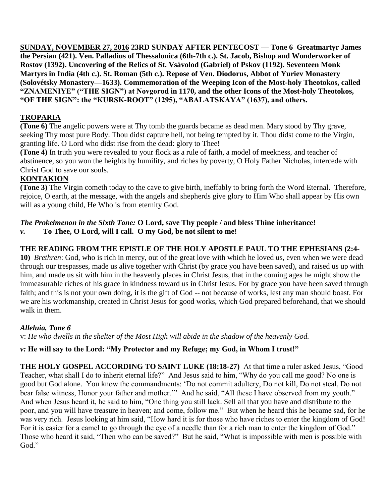**SUNDAY, NOVEMBER 27, 2016 23RD SUNDAY AFTER PENTECOST — Tone 6 Greatmartyr James the Persian (421). Ven. Palladius of Thessalonica (6th-7th c.). St. Jacob, Bishop and Wonderworker of Rostov (1392). Uncovering of the Relics of St. Vsávolod (Gabriel) of Pskov (1192). Seventeen Monk Martyrs in India (4th c.). St. Roman (5th c.). Repose of Ven. Diodorus, Abbot of Yuriev Monastery (Solovétsky Monastery—1633). Commemoration of the Weeping Icon of the Most-holy Theotokos, called "ZNAMENIYE" ("THE SIGN") at Novgorod in 1170, and the other Icons of the Most-holy Theotokos, "OF THE SIGN": the "KURSK-ROOT" (1295), "ABALATSKAYA" (1637), and others.**

#### **TROPARIA**

**(Tone 6)** The angelic powers were at Thy tomb the guards became as dead men. Mary stood by Thy grave, seeking Thy most pure Body. Thou didst capture hell, not being tempted by it. Thou didst come to the Virgin, granting life. O Lord who didst rise from the dead: glory to Thee!

**(Tone 4)** In truth you were revealed to your flock as a rule of faith, a model of meekness, and teacher of abstinence, so you won the heights by humility, and riches by poverty, O Holy Father Nicholas, intercede with Christ God to save our souls.

#### **KONTAKION**

**(Tone 3)** The Virgin cometh today to the cave to give birth, ineffably to bring forth the Word Eternal. Therefore, rejoice, O earth, at the message, with the angels and shepherds give glory to Him Who shall appear by His own will as a young child, He Who is from eternity God.

## *The Prokeimenon in the Sixth Tone:* **O Lord, save Thy people / and bless Thine inheritance!**

*v.* **To Thee, O Lord, will I call. O my God, be not silent to me!**

#### **THE READING FROM THE EPISTLE OF THE HOLY APOSTLE PAUL TO THE EPHESIANS (2:4-**

**10)** *Brethren*: God, who is rich in mercy, out of the great love with which he loved us, even when we were dead through our trespasses, made us alive together with Christ (by grace you have been saved), and raised us up with him, and made us sit with him in the heavenly places in Christ Jesus, that in the coming ages he might show the immeasurable riches of his grace in kindness toward us in Christ Jesus. For by grace you have been saved through faith; and this is not your own doing, it is the gift of God -- not because of works, lest any man should boast. For we are his workmanship, created in Christ Jesus for good works, which God prepared beforehand, that we should walk in them.

#### *Alleluia, Tone 6*

v: *He who dwells in the shelter of the Most High will abide in the shadow of the heavenly God.*

#### *v:* **He will say to the Lord: "My Protector and my Refuge; my God, in Whom I trust!"**

**THE HOLY GOSPEL ACCORDING TO SAINT LUKE (18:18-27)** At that time a ruler asked Jesus, "Good Teacher, what shall I do to inherit eternal life?" And Jesus said to him, "Why do you call me good? No one is good but God alone. You know the commandments: 'Do not commit adultery, Do not kill, Do not steal, Do not bear false witness, Honor your father and mother." And he said, "All these I have observed from my youth." And when Jesus heard it, he said to him, "One thing you still lack. Sell all that you have and distribute to the poor, and you will have treasure in heaven; and come, follow me." But when he heard this he became sad, for he was very rich. Jesus looking at him said, "How hard it is for those who have riches to enter the kingdom of God! For it is easier for a camel to go through the eye of a needle than for a rich man to enter the kingdom of God." Those who heard it said, "Then who can be saved?" But he said, "What is impossible with men is possible with God."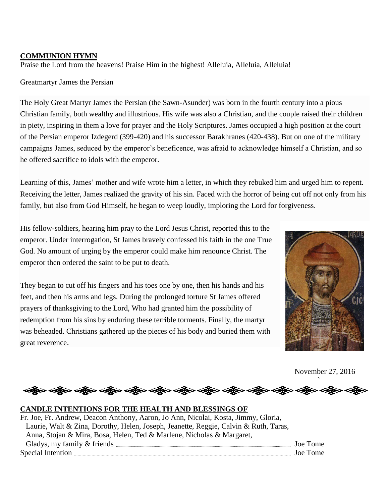#### **COMMUNION HYMN**

Praise the Lord from the heavens! Praise Him in the highest! Alleluia, Alleluia, Alleluia!

Greatmartyr James the Persian

The Holy Great Martyr James the Persian (the Sawn-Asunder) was born in the fourth century into a pious Christian family, both wealthy and illustrious. His wife was also a Christian, and the couple raised their children in piety, inspiring in them a love for prayer and the Holy Scriptures. James occupied a high position at the court of the Persian emperor Izdegerd (399-420) and his successor Barakhranes (420-438). But on one of the military campaigns James, seduced by the emperor's beneficence, was afraid to acknowledge himself a Christian, and so he offered sacrifice to idols with the emperor.

Learning of this, James' mother and wife wrote him a letter, in which they rebuked him and urged him to repent. Receiving the letter, James realized the gravity of his sin. Faced with the horror of being cut off not only from his family, but also from God Himself, he began to weep loudly, imploring the Lord for forgiveness.

His fellow-soldiers, hearing him pray to the Lord Jesus Christ, reported this to the emperor. Under interrogation, St James bravely confessed his faith in the one True God. No amount of urging by the emperor could make him renounce Christ. The emperor then ordered the saint to be put to death.

They began to cut off his fingers and his toes one by one, then his hands and his feet, and then his arms and legs. During the prolonged torture St James offered prayers of thanksgiving to the Lord, Who had granted him the possibility of redemption from his sins by enduring these terrible torments. Finally, the martyr was beheaded. Christians gathered up the pieces of his body and buried them with great reverence.



November 27, 2016

`

## ာရှိပြီ**း ဝည်ိုင်္ဂလ** ဝည်ိုင်္ဂလ ဝည်ိုင်္ဂလ ဝည်

#### **CANDLE INTENTIONS FOR THE HEALTH AND BLESSINGS OF**

| Fr. Joe, Fr. Andrew, Deacon Anthony, Aaron, Jo Ann, Nicolai, Kosta, Jimmy, Gloria,   |          |
|--------------------------------------------------------------------------------------|----------|
| Laurie, Walt & Zina, Dorothy, Helen, Joseph, Jeanette, Reggie, Calvin & Ruth, Taras, |          |
| Anna, Stojan & Mira, Bosa, Helen, Ted & Marlene, Nicholas & Margaret,                |          |
|                                                                                      | Joe Tome |
|                                                                                      | Joe Tome |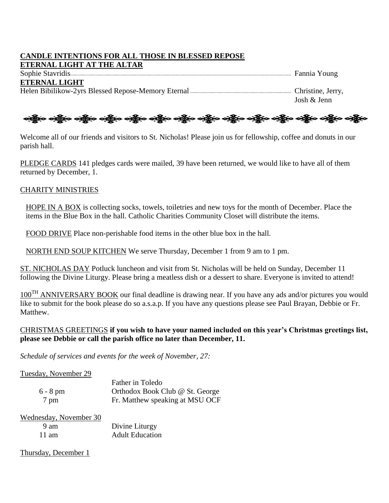#### **CANDLE INTENTIONS FOR ALL THOSE IN BLESSED REPOSE ETERNAL LIGHT AT THE ALTAR**

Sophie Stavridis The Transition of the Stavridis Tennis Young **ETERNAL LIGHT** Helen Bibilikow-2yrs Blessed Repose-Memory Eternal **Christian Christian Christine**, Jerry, Josh & Jenn

## ဆို့ပြီးဝ သို့ဖြင့် သည့်ပြော သို့ဖြင့် သည့်ပြော သည့်ပ သည့်ပြော သည့်ပြော သည့်ပြော သည့်ပြော သည့်ပြော သည့်ပြော

Welcome all of our friends and visitors to St. Nicholas! Please join us for fellowship, coffee and donuts in our parish hall.

PLEDGE CARDS 141 pledges cards were mailed, 39 have been returned, we would like to have all of them returned by December, 1.

#### CHARITY MINISTRIES

HOPE IN A BOX is collecting socks, towels, toiletries and new toys for the month of December. Place the items in the Blue Box in the hall. Catholic Charities Community Closet will distribute the items.

FOOD DRIVE Place non-perishable food items in the other blue box in the hall.

NORTH END SOUP KITCHEN We serve Thursday, December 1 from 9 am to 1 pm.

ST. NICHOLAS DAY Potluck luncheon and visit from St. Nicholas will be held on Sunday, December 11 following the Divine Liturgy. Please bring a meatless dish or a dessert to share. Everyone is invited to attend!

100<sup>TH</sup> ANNIVERSARY BOOK our final deadline is drawing near. If you have any ads and/or pictures you would like to submit for the book please do so a.s.a.p. If you have any questions please see Paul Brayan, Debbie or Fr. Matthew.

#### CHRISTMAS GREETINGS **if you wish to have your named included on this year's Christmas greetings list, please see Debbie or call the parish office no later than December, 11.**

*Schedule of services and events for the week of November, 27:*

Tuesday, November 29

|            | Father in Toledo                |
|------------|---------------------------------|
| $6 - 8$ pm | Orthodox Book Club @ St. George |
| 7 pm       | Fr. Matthew speaking at MSU OCF |

| Wednesday, November 30 |                        |
|------------------------|------------------------|
| 9 am                   | Divine Liturgy         |
| $11 \text{ am}$        | <b>Adult Education</b> |

Thursday, December 1